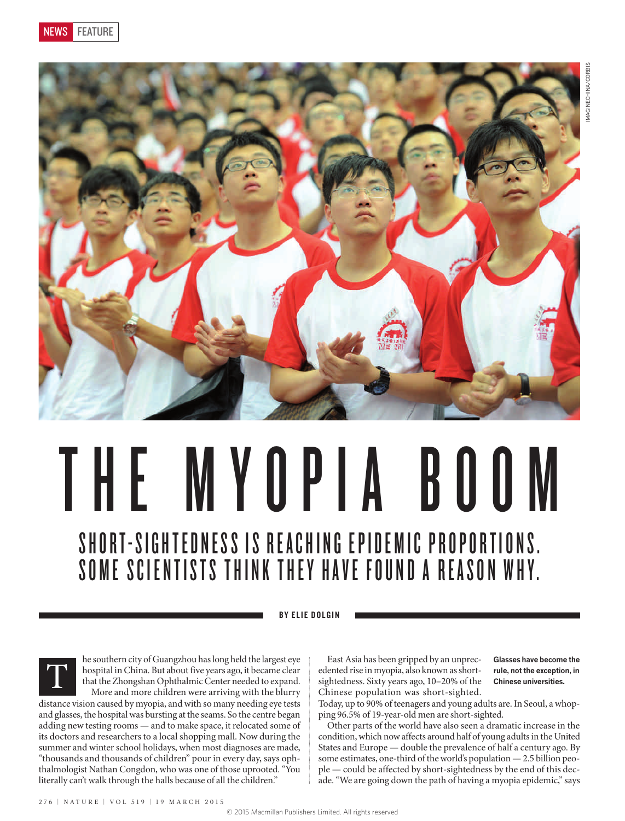

## THE MYOPIA BOOM SHORT-SIGHTEDNESS IS REACHING EPIDEMIC PROPORTIONS. SOME SCIENTISTS THINK THEY HAVE FOUND A REASON WHY.

BY ELIE DOLGIN



he southern city of Guangzhou has long held the largest eye hospital in China. But about five years ago, it became clear that the Zhongshan Ophthalmic Center needed to expand. More and more children were arriving with the blurry

distance vision caused by myopia, and with so many needing eye tests and glasses, the hospital was bursting at the seams. So the centre began adding new testing rooms — and to make space, it relocated some of its doctors and researchers to a local shopping mall. Now during the summer and winter school holidays, when most diagnoses are made, "thousands and thousands of children" pour in every day, says ophthalmologist Nathan Congdon, who was one of those uprooted. "You literally can't walk through the halls because of all the children."

East Asia has been gripped by an unprecedented rise in myopia, also known as shortsightedness. Sixty years ago, 10–20% of the Chinese population was short-sighted.

**Glasses have become the rule, not the exception, in Chinese universities.**

Today, up to 90% of teenagers and young adults are. In Seoul, a whopping 96.5% of 19-year-old men are short-sighted.

Other parts of the world have also seen a dramatic increase in the condition, which now affects around half of young adults in the United States and Europe — double the prevalence of half a century ago. By some estimates, one-third of the world's population — 2.5 billion people — could be affected by short-sightedness by the end of this decade. "We are going down the path of having a myopia epidemic," says

276 | NATURE | VOL 519 | 19 MARCH 2015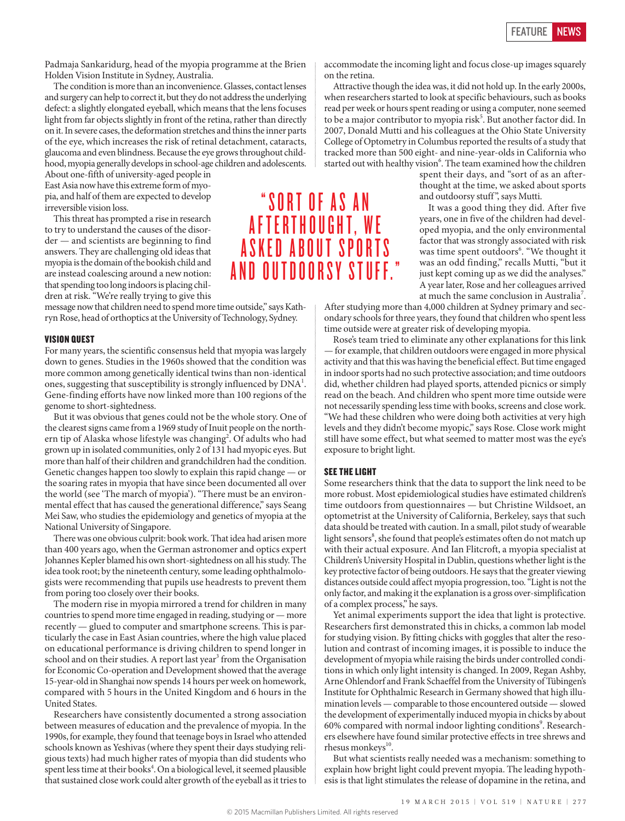Padmaja Sankaridurg, head of the myopia programme at the Brien Holden Vision Institute in Sydney, Australia.

The condition is more than an inconvenience. Glasses, contact lenses and surgery can help to correct it, but they do not address the underlying defect: a slightly elongated eyeball, which means that the lens focuses light from far objects slightly in front of the retina, rather than directly on it. In severe cases, the deformation stretches and thins the inner parts of the eye, which increases the risk of retinal detachment, cataracts, glaucoma and even blindness. Because the eye grows throughout childhood, myopia generally develops in school-age children and adolescents.

About one-fifth of university-aged people in East Asia now have this extreme form of myopia, and half of them are expected to develop irreversible vision loss.

This threat has prompted a rise in research to try to understand the causes of the disorder — and scientists are beginning to find answers. They are challenging old ideas that myopia is the domain of the bookish child and are instead coalescing around a new notion: that spending too long indoors is placing children at risk. "We're really trying to give this

message now that children need to spend more time outside," says Kathryn Rose, head of orthoptics at the University of Technology, Sydney.

## VISION QUEST

For many years, the scientific consensus held that myopia was largely down to genes. Studies in the 1960s showed that the condition was more common among genetically identical twins than non-identical ones, suggesting that susceptibility is strongly influenced by  $\text{DNA}^1$ . Gene-finding efforts have now linked more than 100 regions of the genome to short-sightedness.

But it was obvious that genes could not be the whole story. One of the clearest signs came from a 1969 study of Inuit people on the northern tip of Alaska whose lifestyle was changing<sup>2</sup>. Of adults who had grown up in isolated communities, only 2 of 131 had myopic eyes. But more than half of their children and grandchildren had the condition. Genetic changes happen too slowly to explain this rapid change — or the soaring rates in myopia that have since been documented all over the world (see 'The march of myopia'). "There must be an environmental effect that has caused the generational difference," says Seang Mei Saw, who studies the epidemiology and genetics of myopia at the National University of Singapore.

There was one obvious culprit: book work. That idea had arisen more than 400 years ago, when the German astronomer and optics expert Johannes Kepler blamed his own short-sightedness on all his study. The idea took root; by the nineteenth century, some leading ophthalmologists were recommending that pupils use headrests to prevent them from poring too closely over their books.

The modern rise in myopia mirrored a trend for children in many countries to spend more time engaged in reading, studying or — more recently — glued to computer and smartphone screens. This is particularly the case in East Asian countries, where the high value placed on educational performance is driving children to spend longer in school and on their studies. A report last year<sup>3</sup> from the Organisation for Economic Co-operation and Development showed that the average 15-year-old in Shanghai now spends 14 hours per week on homework, compared with 5 hours in the United Kingdom and 6 hours in the United States.

Researchers have consistently documented a strong association between measures of education and the prevalence of myopia. In the 1990s, for example, they found that teenage boys in Israel who attended schools known as Yeshivas (where they spent their days studying religious texts) had much higher rates of myopia than did students who spent less time at their books<sup>4</sup>. On a biological level, it seemed plausible that sustained close work could alter growth of the eyeball as it tries to accommodate the incoming light and focus close-up images squarely on the retina.

Attractive though the idea was, it did not hold up. In the early 2000s, when researchers started to look at specific behaviours, such as books read per week or hours spent reading or using a computer, none seemed to be a major contributor to myopia risk<sup>5</sup>. But another factor did. In 2007, Donald Mutti and his colleagues at the Ohio State University College of Optometry in Columbus reported the results of a study that tracked more than 500 eight- and nine-year-olds in California who started out with healthy vision<sup>6</sup>. The team examined how the children

spent their days, and "sort of as an afterthought at the time, we asked about sports and outdoorsy stuff ", says Mutti.

It was a good thing they did. After five years, one in five of the children had developed myopia, and the only environmental factor that was strongly associated with risk was time spent outdoors<sup>6</sup>. "We thought it was an odd finding," recalls Mutti, "but it just kept coming up as we did the analyses." A year later, Rose and her colleagues arrived at much the same conclusion in Australia<sup>7</sup>.

After studying more than 4,000 children at Sydney primary and secondary schools for three years, they found that children who spent less time outside were at greater risk of developing myopia.

Rose's team tried to eliminate any other explanations for this link — for example, that children outdoors were engaged in more physical activity and that this was having the beneficial effect. But time engaged in indoor sports had no such protective association; and time outdoors did, whether children had played sports, attended picnics or simply read on the beach. And children who spent more time outside were not necessarily spending less time with books, screens and close work. "We had these children who were doing both activities at very high levels and they didn't become myopic," says Rose. Close work might still have some effect, but what seemed to matter most was the eye's exposure to bright light.

## SEE THE LIGHT

Some researchers think that the data to support the link need to be more robust. Most epidemiological studies have estimated children's time outdoors from questionnaires — but Christine Wildsoet, an optometrist at the University of California, Berkeley, says that such data should be treated with caution. In a small, pilot study of wearable light sensors<sup>8</sup>, she found that people's estimates often do not match up with their actual exposure. And Ian Flitcroft, a myopia specialist at Children's University Hospital in Dublin, questions whether light is the key protective factor of being outdoors. He says that the greater viewing distances outside could affect myopia progression, too. "Light is not the only factor, and making it the explanation is a gross over-simplification of a complex process," he says.

Yet animal experiments support the idea that light is protective. Researchers first demonstrated this in chicks, a common lab model for studying vision. By fitting chicks with goggles that alter the resolution and contrast of incoming images, it is possible to induce the development of myopia while raising the birds under controlled conditions in which only light intensity is changed. In 2009, Regan Ashby, Arne Ohlendorf and Frank Schaeffel from the University of Tübingen's Institute for Ophthalmic Research in Germany showed that high illumination levels — comparable to those encountered outside — slowed the development of experimentally induced myopia in chicks by about 60% compared with normal indoor lighting conditions<sup>9</sup>. Researchers elsewhere have found similar protective effects in tree shrews and rhesus monkeys<sup>10</sup>.

But what scientists really needed was a mechanism: something to explain how bright light could prevent myopia. The leading hypothesis is that light stimulates the release of dopamine in the retina, and

" S O R T O F A S A N **AFTERTHOUGHT, WE** A SKED ABOUT SPORTS AND OUTDOORSY STUFF."